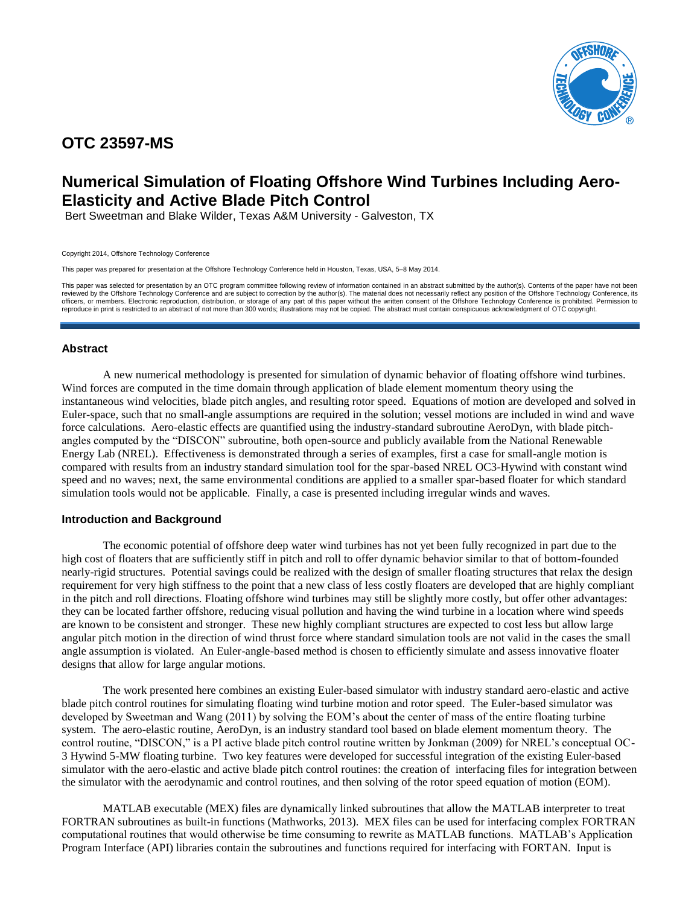

# **OTC 23597-MS**

# **Numerical Simulation of Floating Offshore Wind Turbines Including Aero-Elasticity and Active Blade Pitch Control**

Bert Sweetman and Blake Wilder, Texas A&M University - Galveston, TX

Copyright 2014, Offshore Technology Conference

This paper was prepared for presentation at the Offshore Technology Conference held in Houston, Texas, USA, 5–8 May 2014.

This paper was selected for presentation by an OTC program committee following review of information contained in an abstract submitted by the author(s). Contents of the paper have not been reviewed by the Offshore Technology Conference and are subject to correction by the author(s). The material does not necessarily reflect any position of the Offshore Technology Conference, its officers, or members. Electronic reproduction, distribution, or storage of any part of this paper without the written consent of the Offshore Technology Conference is prohibited. Permission to reproduce in print is restricted to an abstract of not more than 300 words; illustrations may not be copied. The abstract must contain conspicuous acknowledgment of OTC copyright.

# **Abstract**

A new numerical methodology is presented for simulation of dynamic behavior of floating offshore wind turbines. Wind forces are computed in the time domain through application of blade element momentum theory using the instantaneous wind velocities, blade pitch angles, and resulting rotor speed. Equations of motion are developed and solved in Euler-space, such that no small-angle assumptions are required in the solution; vessel motions are included in wind and wave force calculations. Aero-elastic effects are quantified using the industry-standard subroutine AeroDyn, with blade pitchangles computed by the "DISCON" subroutine, both open-source and publicly available from the National Renewable Energy Lab (NREL). Effectiveness is demonstrated through a series of examples, first a case for small-angle motion is compared with results from an industry standard simulation tool for the spar-based NREL OC3-Hywind with constant wind speed and no waves; next, the same environmental conditions are applied to a smaller spar-based floater for which standard simulation tools would not be applicable. Finally, a case is presented including irregular winds and waves.

# **Introduction and Background**

The economic potential of offshore deep water wind turbines has not yet been fully recognized in part due to the high cost of floaters that are sufficiently stiff in pitch and roll to offer dynamic behavior similar to that of bottom-founded nearly-rigid structures. Potential savings could be realized with the design of smaller floating structures that relax the design requirement for very high stiffness to the point that a new class of less costly floaters are developed that are highly compliant in the pitch and roll directions. Floating offshore wind turbines may still be slightly more costly, but offer other advantages: they can be located farther offshore, reducing visual pollution and having the wind turbine in a location where wind speeds are known to be consistent and stronger. These new highly compliant structures are expected to cost less but allow large angular pitch motion in the direction of wind thrust force where standard simulation tools are not valid in the cases the small angle assumption is violated. An Euler-angle-based method is chosen to efficiently simulate and assess innovative floater designs that allow for large angular motions.

The work presented here combines an existing Euler-based simulator with industry standard aero-elastic and active blade pitch control routines for simulating floating wind turbine motion and rotor speed. The Euler-based simulator was developed by Sweetman and Wang (2011) by solving the EOM's about the center of mass of the entire floating turbine system. The aero-elastic routine, AeroDyn, is an industry standard tool based on blade element momentum theory. The control routine, "DISCON," is a PI active blade pitch control routine written by Jonkman (2009) for NREL's conceptual OC-3 Hywind 5-MW floating turbine. Two key features were developed for successful integration of the existing Euler-based simulator with the aero-elastic and active blade pitch control routines: the creation of interfacing files for integration between the simulator with the aerodynamic and control routines, and then solving of the rotor speed equation of motion (EOM).

MATLAB executable (MEX) files are dynamically linked subroutines that allow the MATLAB interpreter to treat FORTRAN subroutines as built-in functions (Mathworks, 2013). MEX files can be used for interfacing complex FORTRAN computational routines that would otherwise be time consuming to rewrite as MATLAB functions. MATLAB's Application Program Interface (API) libraries contain the subroutines and functions required for interfacing with FORTAN. Input is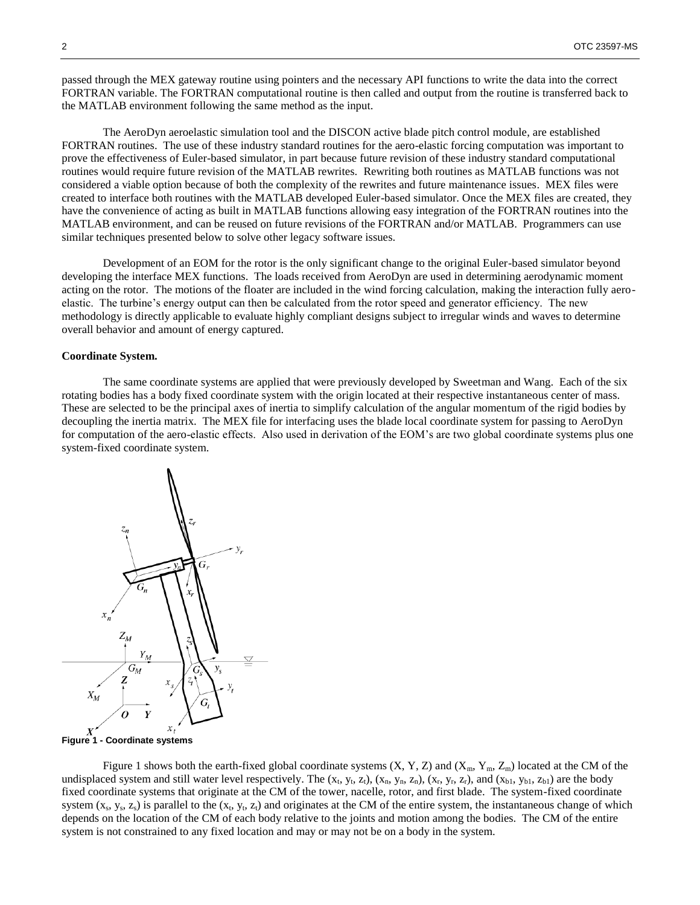passed through the MEX gateway routine using pointers and the necessary API functions to write the data into the correct FORTRAN variable. The FORTRAN computational routine is then called and output from the routine is transferred back to the MATLAB environment following the same method as the input.

The AeroDyn aeroelastic simulation tool and the DISCON active blade pitch control module, are established FORTRAN routines. The use of these industry standard routines for the aero-elastic forcing computation was important to prove the effectiveness of Euler-based simulator, in part because future revision of these industry standard computational routines would require future revision of the MATLAB rewrites. Rewriting both routines as MATLAB functions was not considered a viable option because of both the complexity of the rewrites and future maintenance issues. MEX files were created to interface both routines with the MATLAB developed Euler-based simulator. Once the MEX files are created, they have the convenience of acting as built in MATLAB functions allowing easy integration of the FORTRAN routines into the MATLAB environment, and can be reused on future revisions of the FORTRAN and/or MATLAB. Programmers can use similar techniques presented below to solve other legacy software issues.

Development of an EOM for the rotor is the only significant change to the original Euler-based simulator beyond developing the interface MEX functions. The loads received from AeroDyn are used in determining aerodynamic moment acting on the rotor. The motions of the floater are included in the wind forcing calculation, making the interaction fully aeroelastic. The turbine's energy output can then be calculated from the rotor speed and generator efficiency. The new methodology is directly applicable to evaluate highly compliant designs subject to irregular winds and waves to determine overall behavior and amount of energy captured.

#### **Coordinate System.**

The same coordinate systems are applied that were previously developed by Sweetman and Wang. Each of the six rotating bodies has a body fixed coordinate system with the origin located at their respective instantaneous center of mass. These are selected to be the principal axes of inertia to simplify calculation of the angular momentum of the rigid bodies by decoupling the inertia matrix. The MEX file for interfacing uses the blade local coordinate system for passing to AeroDyn for computation of the aero-elastic effects. Also used in derivation of the EOM's are two global coordinate systems plus one system-fixed coordinate system.



**Figure 1 - Coordinate systems**

Figure 1 shows both the earth-fixed global coordinate systems  $(X, Y, Z)$  and  $(X_m, Y_m, Z_m)$  located at the CM of the undisplaced system and still water level respectively. The  $(x_t, y_t, z_t)$ ,  $(x_n, y_n, z_n)$ ,  $(x_r, y_r, z_r)$ , and  $(x_{b1}, y_{b1}, z_{b1})$  are the body fixed coordinate systems that originate at the CM of the tower, nacelle, rotor, and first blade. The system-fixed coordinate system  $(x_s, y_s, z_s)$  is parallel to the  $(x_t, y_t, z_t)$  and originates at the CM of the entire system, the instantaneous change of which depends on the location of the CM of each body relative to the joints and motion among the bodies. The CM of the entire system is not constrained to any fixed location and may or may not be on a body in the system.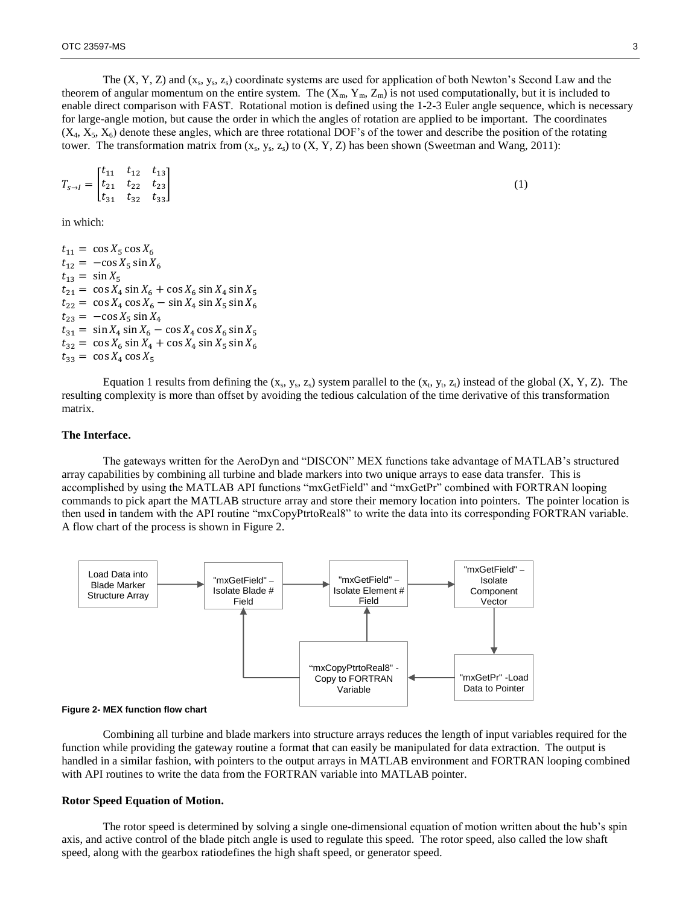The  $(X, Y, Z)$  and  $(x_s, y_s, z_s)$  coordinate systems are used for application of both Newton's Second Law and the theorem of angular momentum on the entire system. The  $(X_m, Y_m, Z_m)$  is not used computationally, but it is included to enable direct comparison with FAST. Rotational motion is defined using the 1-2-3 Euler angle sequence, which is necessary for large-angle motion, but cause the order in which the angles of rotation are applied to be important. The coordinates  $(X_4, X_5, X_6)$  denote these angles, which are three rotational DOF's of the tower and describe the position of the rotating tower. The transformation matrix from  $(x_s, y_s, z_s)$  to  $(X, Y, Z)$  has been shown (Sweetman and Wang, 2011):

$$
T_{s \to I} = \begin{bmatrix} t_{11} & t_{12} & t_{13} \\ t_{21} & t_{22} & t_{23} \\ t_{31} & t_{32} & t_{33} \end{bmatrix}
$$
 (1)

in which:

 $t_{11} = \cos X_5 \cos X_6$  $t_{12} = -\cos X_5 \sin X_6$  $t_{13} = \sin X_5$  $t_{21} = \cos X_4 \sin X_6 + \cos X_6 \sin X_4 \sin X_5$  $t_{22} = \cos X_4 \cos X_6 - \sin X_4 \sin X_5 \sin X_6$  $t_{23} = -\cos X_5 \sin X_4$  $t_{31} = \sin X_4 \sin X_6 - \cos X_4 \cos X_6 \sin X_5$  $t_{32} = \cos X_6 \sin X_4 + \cos X_4 \sin X_5 \sin X_6$  $t_{33} = \cos X_4 \cos X_5$ 

Equation 1 results from defining the  $(x_s, y_s, z_s)$  system parallel to the  $(x_t, y_t, z_t)$  instead of the global  $(X, Y, Z)$ . The resulting complexity is more than offset by avoiding the tedious calculation of the time derivative of this transformation matrix.

#### **The Interface.**

The gateways written for the AeroDyn and "DISCON" MEX functions take advantage of MATLAB's structured array capabilities by combining all turbine and blade markers into two unique arrays to ease data transfer. This is accomplished by using the MATLAB API functions "mxGetField" and "mxGetPr" combined with FORTRAN looping commands to pick apart the MATLAB structure array and store their memory location into pointers. The pointer location is then used in tandem with the API routine "mxCopyPtrtoReal8" to write the data into its corresponding FORTRAN variable. A flow chart of the process is shown in Figure 2.





Combining all turbine and blade markers into structure arrays reduces the length of input variables required for the function while providing the gateway routine a format that can easily be manipulated for data extraction. The output is handled in a similar fashion, with pointers to the output arrays in MATLAB environment and FORTRAN looping combined with API routines to write the data from the FORTRAN variable into MATLAB pointer.

#### **Rotor Speed Equation of Motion.**

The rotor speed is determined by solving a single one-dimensional equation of motion written about the hub's spin axis, and active control of the blade pitch angle is used to regulate this speed. The rotor speed, also called the low shaft speed, along with the gearbox ratiodefines the high shaft speed, or generator speed.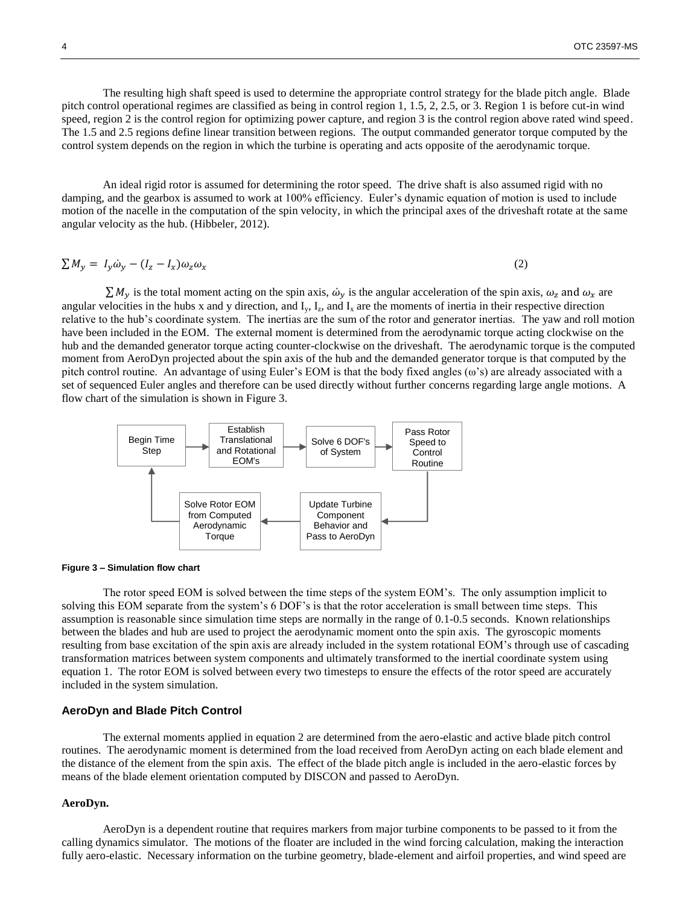The resulting high shaft speed is used to determine the appropriate control strategy for the blade pitch angle. Blade pitch control operational regimes are classified as being in control region 1, 1.5, 2, 2.5, or 3. Region 1 is before cut-in wind speed, region 2 is the control region for optimizing power capture, and region 3 is the control region above rated wind speed. The 1.5 and 2.5 regions define linear transition between regions. The output commanded generator torque computed by the control system depends on the region in which the turbine is operating and acts opposite of the aerodynamic torque.

An ideal rigid rotor is assumed for determining the rotor speed. The drive shaft is also assumed rigid with no damping, and the gearbox is assumed to work at 100% efficiency. Euler's dynamic equation of motion is used to include motion of the nacelle in the computation of the spin velocity, in which the principal axes of the driveshaft rotate at the same angular velocity as the hub. (Hibbeler, 2012).

$$
\sum M_y = I_y \dot{\omega}_y - (I_z - I_x) \omega_z \omega_x \tag{2}
$$

 $\sum M_y$  is the total moment acting on the spin axis,  $\omega_y$  is the angular acceleration of the spin axis,  $\omega_z$  and  $\omega_x$  are angular velocities in the hubs x and y direction, and  $I_y$ ,  $I_z$ , and  $I_x$  are the moments of inertia in their respective direction relative to the hub's coordinate system. The inertias are the sum of the rotor and generator inertias. The yaw and roll motion have been included in the EOM. The external moment is determined from the aerodynamic torque acting clockwise on the hub and the demanded generator torque acting counter-clockwise on the driveshaft. The aerodynamic torque is the computed moment from AeroDyn projected about the spin axis of the hub and the demanded generator torque is that computed by the pitch control routine. An advantage of using Euler's EOM is that the body fixed angles (ω's) are already associated with a set of sequenced Euler angles and therefore can be used directly without further concerns regarding large angle motions. A flow chart of the simulation is shown in Figure 3.



#### **Figure 3 – Simulation flow chart**

The rotor speed EOM is solved between the time steps of the system EOM's. The only assumption implicit to solving this EOM separate from the system's 6 DOF's is that the rotor acceleration is small between time steps. This assumption is reasonable since simulation time steps are normally in the range of 0.1-0.5 seconds. Known relationships between the blades and hub are used to project the aerodynamic moment onto the spin axis. The gyroscopic moments resulting from base excitation of the spin axis are already included in the system rotational EOM's through use of cascading transformation matrices between system components and ultimately transformed to the inertial coordinate system using equation 1. The rotor EOM is solved between every two timesteps to ensure the effects of the rotor speed are accurately included in the system simulation.

#### **AeroDyn and Blade Pitch Control**

The external moments applied in equation 2 are determined from the aero-elastic and active blade pitch control routines. The aerodynamic moment is determined from the load received from AeroDyn acting on each blade element and the distance of the element from the spin axis. The effect of the blade pitch angle is included in the aero-elastic forces by means of the blade element orientation computed by DISCON and passed to AeroDyn.

#### **AeroDyn.**

AeroDyn is a dependent routine that requires markers from major turbine components to be passed to it from the calling dynamics simulator. The motions of the floater are included in the wind forcing calculation, making the interaction fully aero-elastic. Necessary information on the turbine geometry, blade-element and airfoil properties, and wind speed are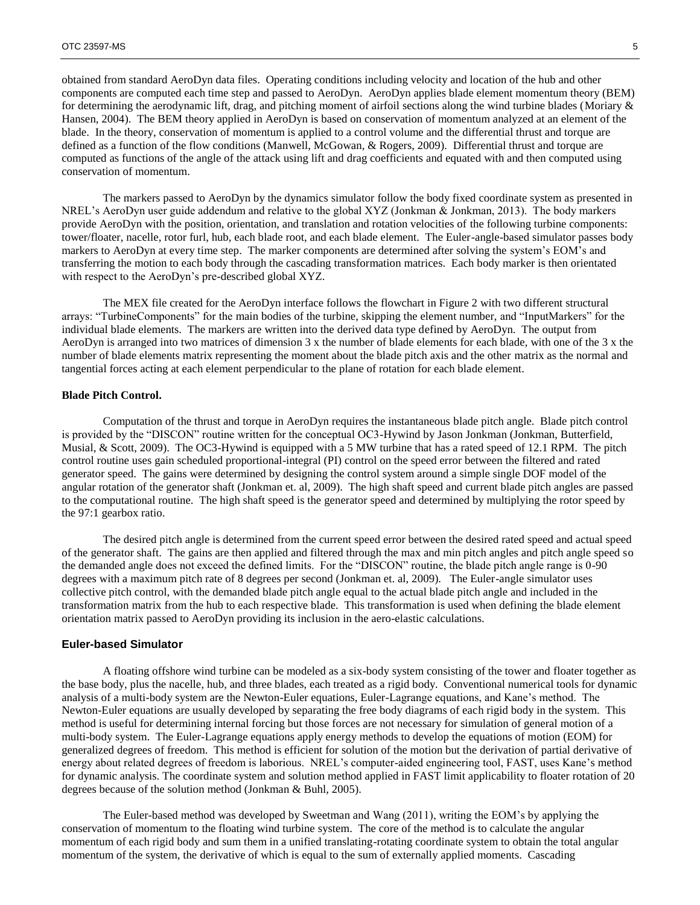obtained from standard AeroDyn data files. Operating conditions including velocity and location of the hub and other components are computed each time step and passed to AeroDyn. AeroDyn applies blade element momentum theory (BEM) for determining the aerodynamic lift, drag, and pitching moment of airfoil sections along the wind turbine blades (Moriary & Hansen, 2004). The BEM theory applied in AeroDyn is based on conservation of momentum analyzed at an element of the blade. In the theory, conservation of momentum is applied to a control volume and the differential thrust and torque are defined as a function of the flow conditions (Manwell, McGowan, & Rogers, 2009). Differential thrust and torque are computed as functions of the angle of the attack using lift and drag coefficients and equated with and then computed using conservation of momentum.

The markers passed to AeroDyn by the dynamics simulator follow the body fixed coordinate system as presented in NREL's AeroDyn user guide addendum and relative to the global XYZ (Jonkman & Jonkman, 2013). The body markers provide AeroDyn with the position, orientation, and translation and rotation velocities of the following turbine components: tower/floater, nacelle, rotor furl, hub, each blade root, and each blade element. The Euler-angle-based simulator passes body markers to AeroDyn at every time step. The marker components are determined after solving the system's EOM's and transferring the motion to each body through the cascading transformation matrices. Each body marker is then orientated with respect to the AeroDyn's pre-described global XYZ.

The MEX file created for the AeroDyn interface follows the flowchart in Figure 2 with two different structural arrays: "TurbineComponents" for the main bodies of the turbine, skipping the element number, and "InputMarkers" for the individual blade elements. The markers are written into the derived data type defined by AeroDyn. The output from AeroDyn is arranged into two matrices of dimension 3 x the number of blade elements for each blade, with one of the 3 x the number of blade elements matrix representing the moment about the blade pitch axis and the other matrix as the normal and tangential forces acting at each element perpendicular to the plane of rotation for each blade element.

### **Blade Pitch Control.**

Computation of the thrust and torque in AeroDyn requires the instantaneous blade pitch angle. Blade pitch control is provided by the "DISCON" routine written for the conceptual OC3-Hywind by Jason Jonkman (Jonkman, Butterfield, Musial, & Scott, 2009). The OC3-Hywind is equipped with a 5 MW turbine that has a rated speed of 12.1 RPM. The pitch control routine uses gain scheduled proportional-integral (PI) control on the speed error between the filtered and rated generator speed. The gains were determined by designing the control system around a simple single DOF model of the angular rotation of the generator shaft (Jonkman et. al, 2009). The high shaft speed and current blade pitch angles are passed to the computational routine. The high shaft speed is the generator speed and determined by multiplying the rotor speed by the 97:1 gearbox ratio.

The desired pitch angle is determined from the current speed error between the desired rated speed and actual speed of the generator shaft. The gains are then applied and filtered through the max and min pitch angles and pitch angle speed so the demanded angle does not exceed the defined limits. For the "DISCON" routine, the blade pitch angle range is 0-90 degrees with a maximum pitch rate of 8 degrees per second (Jonkman et. al, 2009). The Euler-angle simulator uses collective pitch control, with the demanded blade pitch angle equal to the actual blade pitch angle and included in the transformation matrix from the hub to each respective blade. This transformation is used when defining the blade element orientation matrix passed to AeroDyn providing its inclusion in the aero-elastic calculations.

# **Euler-based Simulator**

A floating offshore wind turbine can be modeled as a six-body system consisting of the tower and floater together as the base body, plus the nacelle, hub, and three blades, each treated as a rigid body. Conventional numerical tools for dynamic analysis of a multi-body system are the Newton-Euler equations, Euler-Lagrange equations, and Kane's method. The Newton-Euler equations are usually developed by separating the free body diagrams of each rigid body in the system. This method is useful for determining internal forcing but those forces are not necessary for simulation of general motion of a multi-body system. The Euler-Lagrange equations apply energy methods to develop the equations of motion (EOM) for generalized degrees of freedom. This method is efficient for solution of the motion but the derivation of partial derivative of energy about related degrees of freedom is laborious. NREL's computer-aided engineering tool, FAST, uses Kane's method for dynamic analysis. The coordinate system and solution method applied in FAST limit applicability to floater rotation of 20 degrees because of the solution method (Jonkman & Buhl, 2005).

The Euler-based method was developed by Sweetman and Wang (2011), writing the EOM's by applying the conservation of momentum to the floating wind turbine system. The core of the method is to calculate the angular momentum of each rigid body and sum them in a unified translating-rotating coordinate system to obtain the total angular momentum of the system, the derivative of which is equal to the sum of externally applied moments. Cascading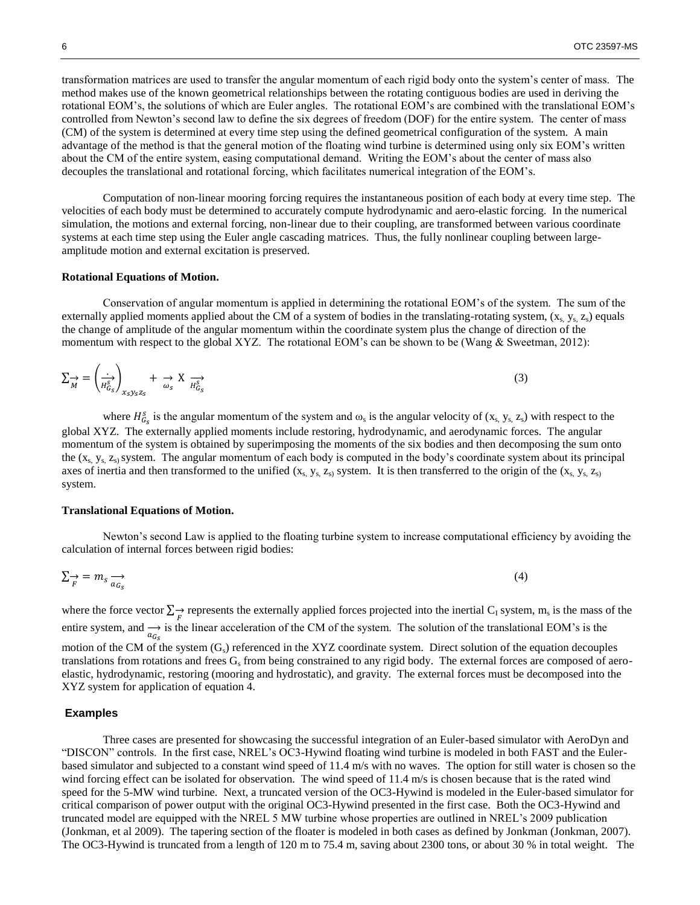transformation matrices are used to transfer the angular momentum of each rigid body onto the system's center of mass. The method makes use of the known geometrical relationships between the rotating contiguous bodies are used in deriving the rotational EOM's, the solutions of which are Euler angles. The rotational EOM's are combined with the translational EOM's controlled from Newton's second law to define the six degrees of freedom (DOF) for the entire system. The center of mass (CM) of the system is determined at every time step using the defined geometrical configuration of the system. A main advantage of the method is that the general motion of the floating wind turbine is determined using only six EOM's written about the CM of the entire system, easing computational demand. Writing the EOM's about the center of mass also decouples the translational and rotational forcing, which facilitates numerical integration of the EOM's.

Computation of non-linear mooring forcing requires the instantaneous position of each body at every time step. The velocities of each body must be determined to accurately compute hydrodynamic and aero-elastic forcing. In the numerical simulation, the motions and external forcing, non-linear due to their coupling, are transformed between various coordinate systems at each time step using the Euler angle cascading matrices. Thus, the fully nonlinear coupling between largeamplitude motion and external excitation is preserved.

#### **Rotational Equations of Motion.**

Conservation of angular momentum is applied in determining the rotational EOM's of the system. The sum of the externally applied moments applied about the CM of a system of bodies in the translating-rotating system,  $(x_s, y_s, z_s)$  equals the change of amplitude of the angular momentum within the coordinate system plus the change of direction of the momentum with respect to the global XYZ. The rotational EOM's can be shown to be (Wang & Sweetman, 2012):

$$
\sum_{M} \frac{1}{\overrightarrow{H_{G_S}^s}} \sum_{x_S y_S z_S} + \frac{1}{\omega_S} \overrightarrow{X} \frac{1}{\overrightarrow{H_{G_S}^s}}
$$
(3)

where  $H_{G_s}^s$  is the angular momentum of the system and  $\omega_s$  is the angular velocity of  $(x_s, y_s, z_s)$  with respect to the global XYZ. The externally applied moments include restoring, hydrodynamic, and aerodynamic forces. The angular momentum of the system is obtained by superimposing the moments of the six bodies and then decomposing the sum onto the  $(x_s, y_s, z_s)$  system. The angular momentum of each body is computed in the body's coordinate system about its principal axes of inertia and then transformed to the unified  $(x_s, y_s, z_s)$  system. It is then transferred to the origin of the  $(x_s, y_s, z_s)$ system.

#### **Translational Equations of Motion.**

Newton's second Law is applied to the floating turbine system to increase computational efficiency by avoiding the calculation of internal forces between rigid bodies:

$$
\sum_{F} \to m_{s} \xrightarrow{a_{G_{s}}} \tag{4}
$$

where the force vector  $\sum \rightarrow F$  represents the externally applied forces projected into the inertial C<sub>1</sub> system, m<sub>s</sub> is the mass of the entire system, and  $\rightarrow$  is the linear acceleration of the CM of the system. The solution of the translational EOM's is the motion of the CM of the system  $(G_s)$  referenced in the XYZ coordinate system. Direct solution of the equation decouples translations from rotations and frees  $G_s$  from being constrained to any rigid body. The external forces are composed of aeroelastic, hydrodynamic, restoring (mooring and hydrostatic), and gravity. The external forces must be decomposed into the XYZ system for application of equation 4.

#### **Examples**

Three cases are presented for showcasing the successful integration of an Euler-based simulator with AeroDyn and "DISCON" controls. In the first case, NREL's OC3-Hywind floating wind turbine is modeled in both FAST and the Eulerbased simulator and subjected to a constant wind speed of 11.4 m/s with no waves. The option for still water is chosen so the wind forcing effect can be isolated for observation. The wind speed of 11.4 m/s is chosen because that is the rated wind speed for the 5-MW wind turbine. Next, a truncated version of the OC3-Hywind is modeled in the Euler-based simulator for critical comparison of power output with the original OC3-Hywind presented in the first case. Both the OC3-Hywind and truncated model are equipped with the NREL 5 MW turbine whose properties are outlined in NREL's 2009 publication (Jonkman, et al 2009). The tapering section of the floater is modeled in both cases as defined by Jonkman (Jonkman, 2007). The OC3-Hywind is truncated from a length of 120 m to 75.4 m, saving about 2300 tons, or about 30 % in total weight. The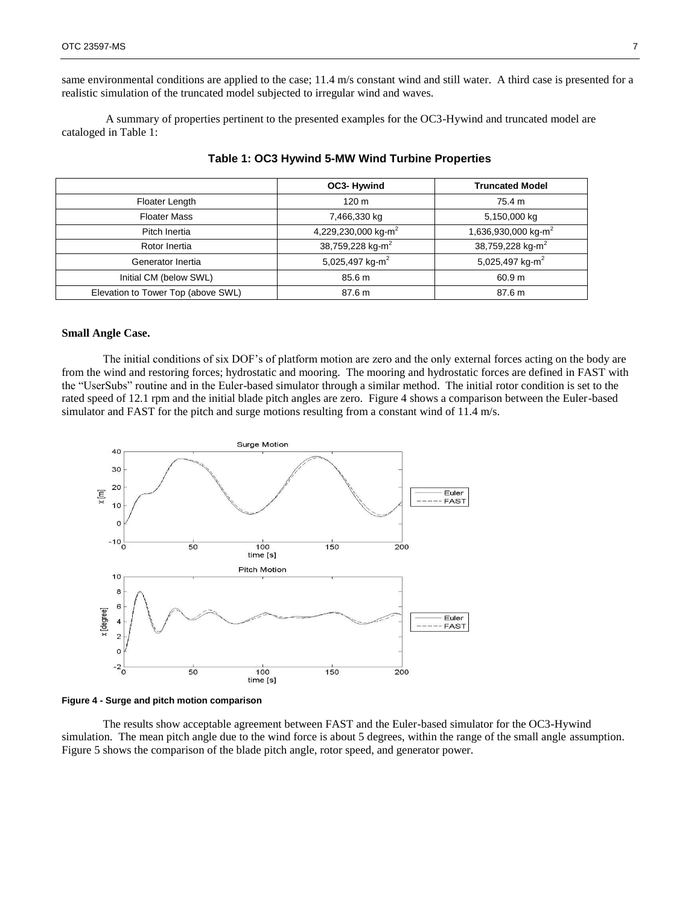same environmental conditions are applied to the case; 11.4 m/s constant wind and still water. A third case is presented for a realistic simulation of the truncated model subjected to irregular wind and waves.

A summary of properties pertinent to the presented examples for the OC3-Hywind and truncated model are cataloged in Table 1:

|                                    | OC3-Hywind                      | <b>Truncated Model</b>          |
|------------------------------------|---------------------------------|---------------------------------|
| Floater Length                     | 120 <sub>m</sub>                | 75.4 m                          |
| <b>Floater Mass</b>                | 7,466,330 kg                    | 5,150,000 kg                    |
| Pitch Inertia                      | 4,229,230,000 kg-m <sup>2</sup> | 1,636,930,000 kg-m <sup>2</sup> |
| Rotor Inertia                      | 38,759,228 kg-m <sup>2</sup>    | 38,759,228 kg-m <sup>2</sup>    |
| Generator Inertia                  | 5,025,497 kg- $m2$              | 5,025,497 kg- $m2$              |
| Initial CM (below SWL)             | 85.6 m                          | 60.9 m                          |
| Elevation to Tower Top (above SWL) | 87.6 m                          | 87.6 m                          |

# **Table 1: OC3 Hywind 5-MW Wind Turbine Properties**

# **Small Angle Case.**

The initial conditions of six DOF's of platform motion are zero and the only external forces acting on the body are from the wind and restoring forces; hydrostatic and mooring. The mooring and hydrostatic forces are defined in FAST with the "UserSubs" routine and in the Euler-based simulator through a similar method. The initial rotor condition is set to the rated speed of 12.1 rpm and the initial blade pitch angles are zero. Figure 4 shows a comparison between the Euler-based simulator and FAST for the pitch and surge motions resulting from a constant wind of 11.4 m/s.



#### **Figure 4 - Surge and pitch motion comparison**

The results show acceptable agreement between FAST and the Euler-based simulator for the OC3-Hywind simulation. The mean pitch angle due to the wind force is about 5 degrees, within the range of the small angle assumption. Figure 5 shows the comparison of the blade pitch angle, rotor speed, and generator power.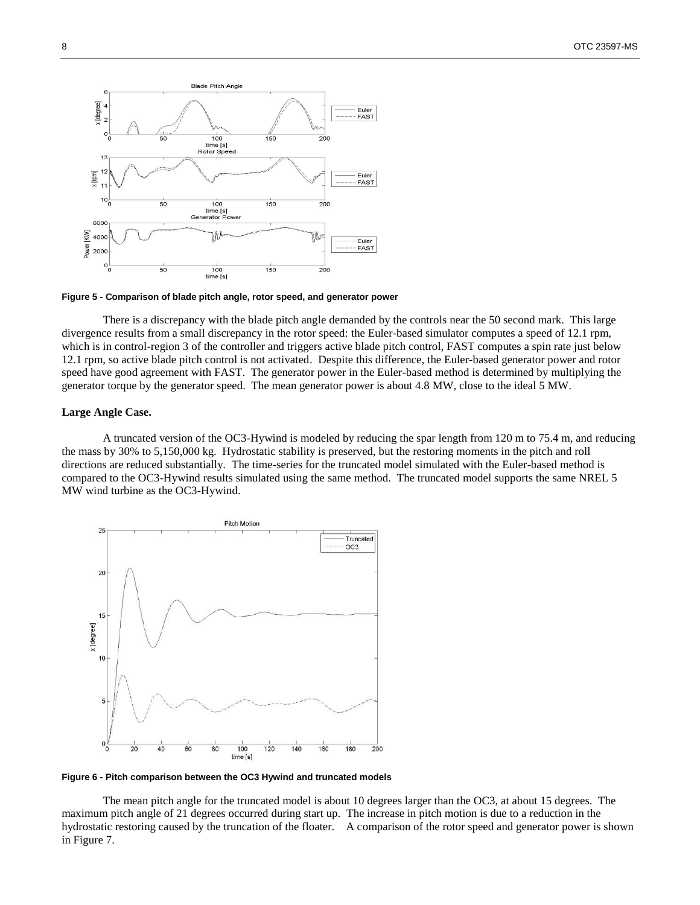

**Figure 5 - Comparison of blade pitch angle, rotor speed, and generator power**

There is a discrepancy with the blade pitch angle demanded by the controls near the 50 second mark. This large divergence results from a small discrepancy in the rotor speed: the Euler-based simulator computes a speed of 12.1 rpm, which is in control-region 3 of the controller and triggers active blade pitch control, FAST computes a spin rate just below 12.1 rpm, so active blade pitch control is not activated. Despite this difference, the Euler-based generator power and rotor speed have good agreement with FAST. The generator power in the Euler-based method is determined by multiplying the generator torque by the generator speed. The mean generator power is about 4.8 MW, close to the ideal 5 MW.

#### **Large Angle Case.**

A truncated version of the OC3-Hywind is modeled by reducing the spar length from 120 m to 75.4 m, and reducing the mass by 30% to 5,150,000 kg. Hydrostatic stability is preserved, but the restoring moments in the pitch and roll directions are reduced substantially. The time-series for the truncated model simulated with the Euler-based method is compared to the OC3-Hywind results simulated using the same method. The truncated model supports the same NREL 5 MW wind turbine as the OC3-Hywind.



**Figure 6 - Pitch comparison between the OC3 Hywind and truncated models**

The mean pitch angle for the truncated model is about 10 degrees larger than the OC3, at about 15 degrees. The maximum pitch angle of 21 degrees occurred during start up. The increase in pitch motion is due to a reduction in the hydrostatic restoring caused by the truncation of the floater. A comparison of the rotor speed and generator power is shown in Figure 7.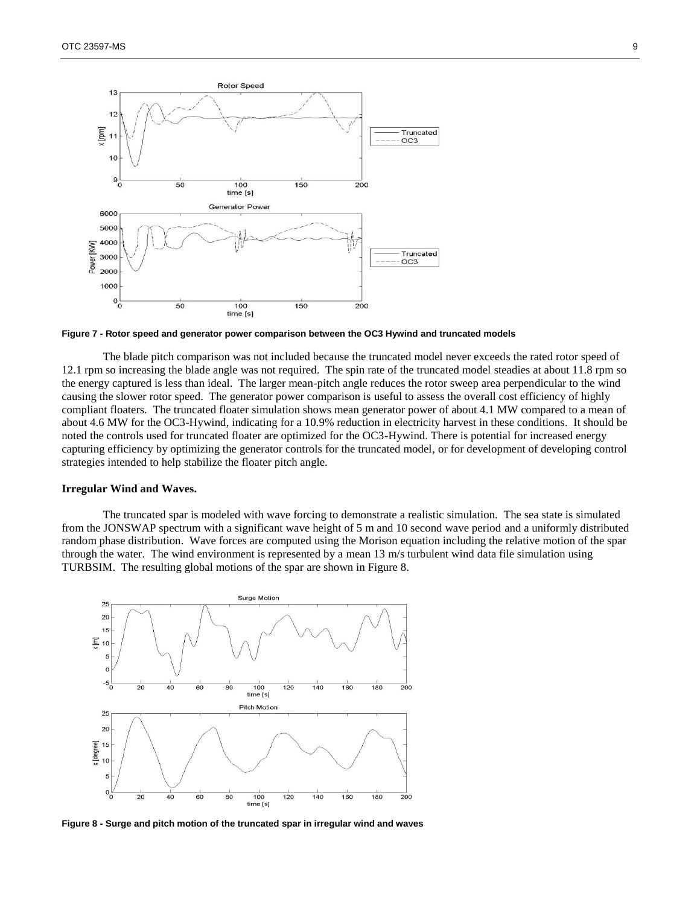

**Figure 7 - Rotor speed and generator power comparison between the OC3 Hywind and truncated models**

The blade pitch comparison was not included because the truncated model never exceeds the rated rotor speed of 12.1 rpm so increasing the blade angle was not required. The spin rate of the truncated model steadies at about 11.8 rpm so the energy captured is less than ideal. The larger mean-pitch angle reduces the rotor sweep area perpendicular to the wind causing the slower rotor speed. The generator power comparison is useful to assess the overall cost efficiency of highly compliant floaters. The truncated floater simulation shows mean generator power of about 4.1 MW compared to a mean of about 4.6 MW for the OC3-Hywind, indicating for a 10.9% reduction in electricity harvest in these conditions. It should be noted the controls used for truncated floater are optimized for the OC3-Hywind. There is potential for increased energy capturing efficiency by optimizing the generator controls for the truncated model, or for development of developing control strategies intended to help stabilize the floater pitch angle.

#### **Irregular Wind and Waves.**

The truncated spar is modeled with wave forcing to demonstrate a realistic simulation. The sea state is simulated from the JONSWAP spectrum with a significant wave height of 5 m and 10 second wave period and a uniformly distributed random phase distribution. Wave forces are computed using the Morison equation including the relative motion of the spar through the water. The wind environment is represented by a mean 13 m/s turbulent wind data file simulation using TURBSIM. The resulting global motions of the spar are shown in Figure 8.



**Figure 8 - Surge and pitch motion of the truncated spar in irregular wind and waves**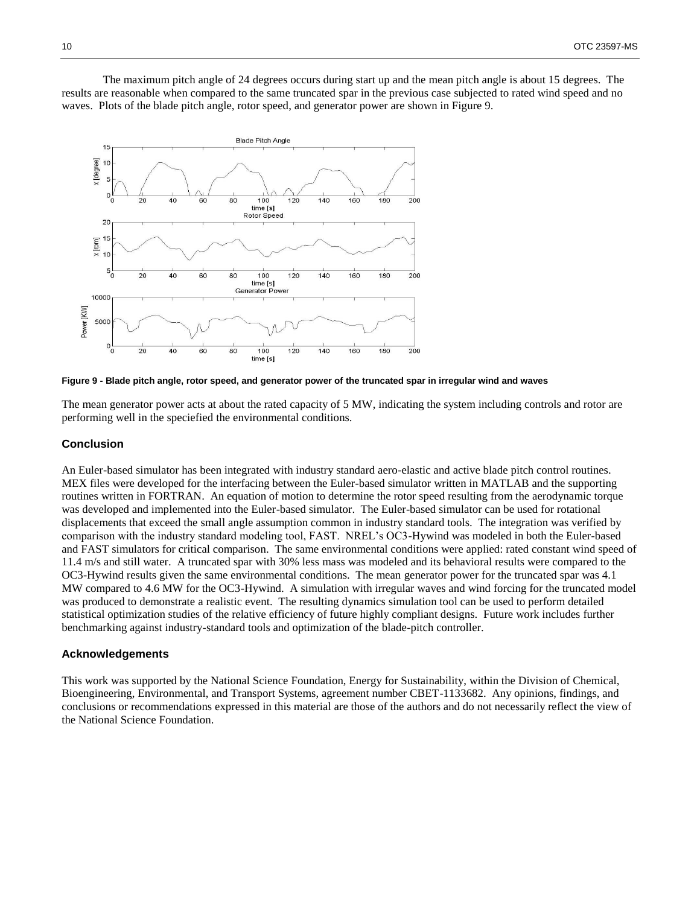The maximum pitch angle of 24 degrees occurs during start up and the mean pitch angle is about 15 degrees. The results are reasonable when compared to the same truncated spar in the previous case subjected to rated wind speed and no waves. Plots of the blade pitch angle, rotor speed, and generator power are shown in Figure 9.



**Figure 9 - Blade pitch angle, rotor speed, and generator power of the truncated spar in irregular wind and waves**

The mean generator power acts at about the rated capacity of 5 MW, indicating the system including controls and rotor are performing well in the speciefied the environmental conditions.

# **Conclusion**

An Euler-based simulator has been integrated with industry standard aero-elastic and active blade pitch control routines. MEX files were developed for the interfacing between the Euler-based simulator written in MATLAB and the supporting routines written in FORTRAN. An equation of motion to determine the rotor speed resulting from the aerodynamic torque was developed and implemented into the Euler-based simulator. The Euler-based simulator can be used for rotational displacements that exceed the small angle assumption common in industry standard tools. The integration was verified by comparison with the industry standard modeling tool, FAST. NREL's OC3-Hywind was modeled in both the Euler-based and FAST simulators for critical comparison. The same environmental conditions were applied: rated constant wind speed of 11.4 m/s and still water. A truncated spar with 30% less mass was modeled and its behavioral results were compared to the OC3-Hywind results given the same environmental conditions. The mean generator power for the truncated spar was 4.1 MW compared to 4.6 MW for the OC3-Hywind. A simulation with irregular waves and wind forcing for the truncated model was produced to demonstrate a realistic event. The resulting dynamics simulation tool can be used to perform detailed statistical optimization studies of the relative efficiency of future highly compliant designs. Future work includes further benchmarking against industry-standard tools and optimization of the blade-pitch controller.

# **Acknowledgements**

This work was supported by the National Science Foundation, Energy for Sustainability, within the Division of Chemical, Bioengineering, Environmental, and Transport Systems, agreement number CBET-1133682. Any opinions, findings, and conclusions or recommendations expressed in this material are those of the authors and do not necessarily reflect the view of the National Science Foundation.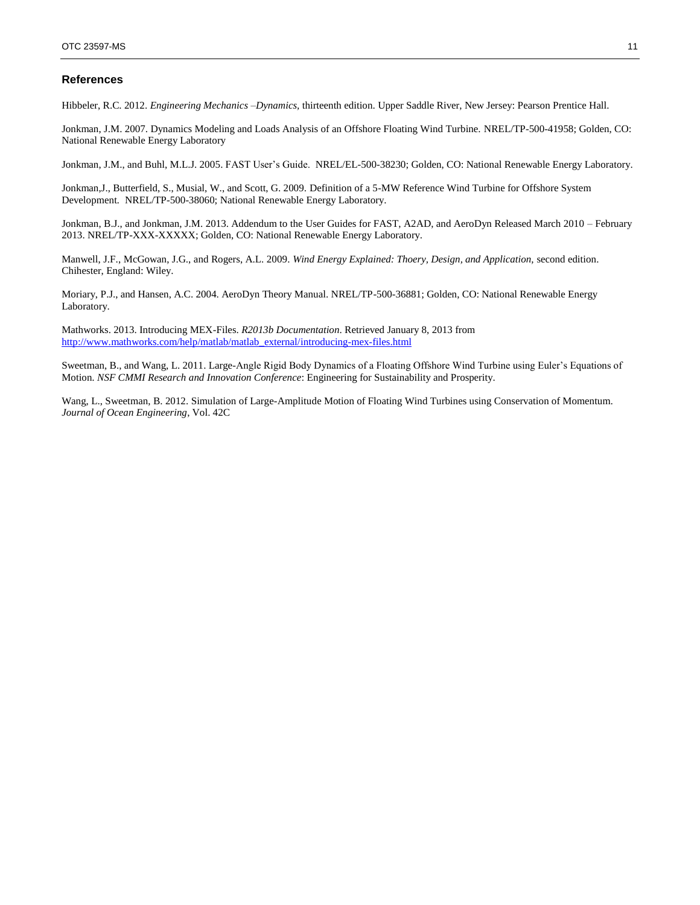# **References**

Hibbeler, R.C. 2012. *Engineering Mechanics –Dynamics,* thirteenth edition. Upper Saddle River, New Jersey: Pearson Prentice Hall.

Jonkman, J.M. 2007. Dynamics Modeling and Loads Analysis of an Offshore Floating Wind Turbine. NREL/TP-500-41958; Golden, CO: National Renewable Energy Laboratory

Jonkman, J.M., and Buhl, M.L.J. 2005. FAST User's Guide. NREL/EL-500-38230; Golden, CO: National Renewable Energy Laboratory.

Jonkman,J., Butterfield, S., Musial, W., and Scott, G. 2009. Definition of a 5-MW Reference Wind Turbine for Offshore System Development*.* NREL/TP-500-38060; National Renewable Energy Laboratory.

Jonkman, B.J., and Jonkman, J.M. 2013. Addendum to the User Guides for FAST, A2AD, and AeroDyn Released March 2010 – February 2013. NREL/TP-XXX-XXXXX; Golden, CO: National Renewable Energy Laboratory.

Manwell, J.F., McGowan, J.G., and Rogers, A.L. 2009. *Wind Energy Explained: Thoery, Design, and Application,* second edition. Chihester, England: Wiley.

Moriary, P.J., and Hansen, A.C. 2004. AeroDyn Theory Manual. NREL/TP-500-36881; Golden, CO: National Renewable Energy Laboratory.

Mathworks. 2013. Introducing MEX-Files. *R2013b Documentation*. Retrieved January 8, 2013 from [http://www.mathworks.com/help/matlab/matlab\\_external/introducing-mex-files.html](http://www.mathworks.com/help/matlab/matlab_external/introducing-mex-files.html)

Sweetman, B., and Wang, L. 2011. Large-Angle Rigid Body Dynamics of a Floating Offshore Wind Turbine using Euler's Equations of Motion*. NSF CMMI Research and Innovation Conference*: Engineering for Sustainability and Prosperity.

Wang, L., Sweetman, B. 2012. Simulation of Large-Amplitude Motion of Floating Wind Turbines using Conservation of Momentum*. Journal of Ocean Engineering*, Vol. 42C